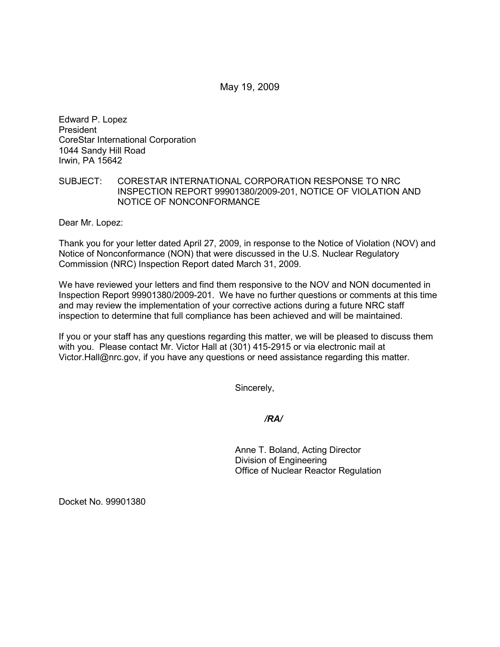May 19, 2009

Edward P. Lopez President CoreStar International Corporation 1044 Sandy Hill Road Irwin, PA 15642

## SUBJECT: CORESTAR INTERNATIONAL CORPORATION RESPONSE TO NRC INSPECTION REPORT 99901380/2009-201, NOTICE OF VIOLATION AND NOTICE OF NONCONFORMANCE

Dear Mr. Lopez:

Thank you for your letter dated April 27, 2009, in response to the Notice of Violation (NOV) and Notice of Nonconformance (NON) that were discussed in the U.S. Nuclear Regulatory Commission (NRC) Inspection Report dated March 31, 2009.

We have reviewed your letters and find them responsive to the NOV and NON documented in Inspection Report 99901380/2009-201. We have no further questions or comments at this time and may review the implementation of your corrective actions during a future NRC staff inspection to determine that full compliance has been achieved and will be maintained.

If you or your staff has any questions regarding this matter, we will be pleased to discuss them with you. Please contact Mr. Victor Hall at (301) 415-2915 or via electronic mail at Victor.Hall@nrc.gov, if you have any questions or need assistance regarding this matter.

Sincerely,

*/RA/* 

Anne T. Boland, Acting Director Division of Engineering Office of Nuclear Reactor Regulation

Docket No. 99901380